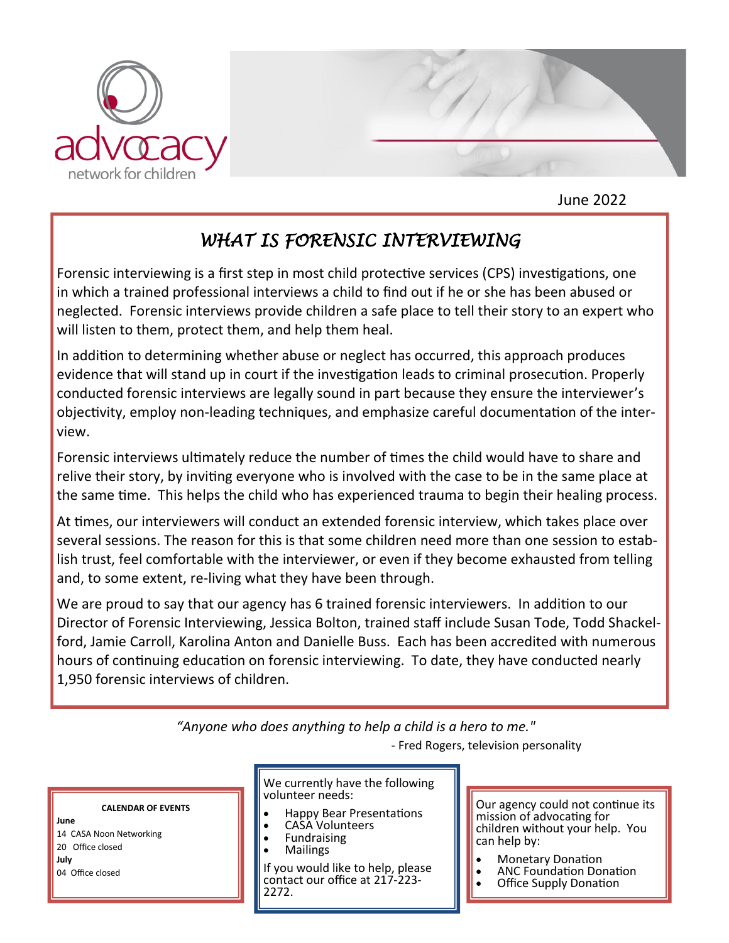

June 2022

## *WHAT IS FORENSIC INTERVIEWING*

Forensic interviewing is a first step in most child protective services (CPS) investigations, one in which a trained professional interviews a child to find out if he or she has been abused or neglected. Forensic interviews provide children a safe place to tell their story to an expert who will listen to them, protect them, and help them heal.

In addition to determining whether abuse or neglect has occurred, this approach produces evidence that will stand up in court if the investigation leads to criminal prosecution. Properly conducted forensic interviews are legally sound in part because they ensure the interviewer's objectivity, employ non-leading techniques, and emphasize careful documentation of the interview.

Forensic interviews ultimately reduce the number of times the child would have to share and relive their story, by inviting everyone who is involved with the case to be in the same place at the same time. This helps the child who has experienced trauma to begin their healing process.

At times, our interviewers will conduct an extended forensic interview, which takes place over several sessions. The reason for this is that some children need more than one session to establish trust, feel comfortable with the interviewer, or even if they become exhausted from telling and, to some extent, re-living what they have been through.

We are proud to say that our agency has 6 trained forensic interviewers. In addition to our Director of Forensic Interviewing, Jessica Bolton, trained staff include Susan Tode, Todd Shackelford, Jamie Carroll, Karolina Anton and Danielle Buss. Each has been accredited with numerous hours of continuing education on forensic interviewing. To date, they have conducted nearly 1,950 forensic interviews of children.

*"Anyone who does anything to help a child is a hero to me."*

- Fred Rogers, television personality

#### **CALENDAR OF EVENTS**

**June** 14 CASA Noon Networking 20 Office closed **July** 04 Office closed

We currently have the following volunteer needs:

- Happy Bear Presentations
- CASA Volunteers
- **Fundraising** • Mailings

If you would like to help, please contact our office at 217-223- 2272.

Our agency could not continue its mission of advocating for children without your help. You can help by:

- Monetary Donation
- ANC Foundation Donation
- **Office Supply Donation**